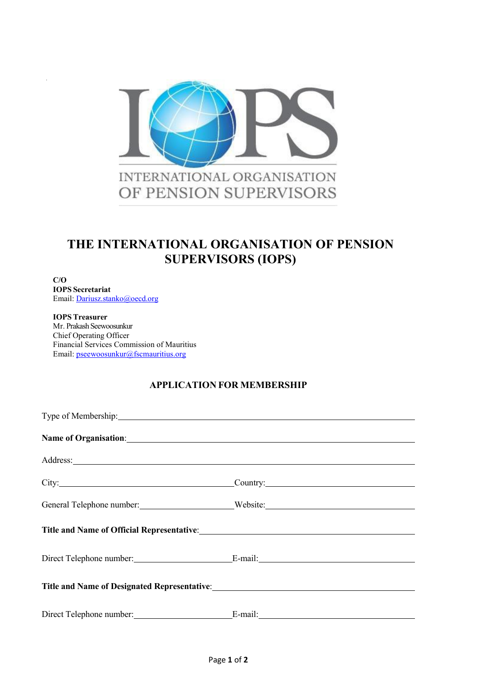

# **THE INTERNATIONAL ORGANISATION OF PENSION SUPERVISORS (IOPS)**

**C/O IOPS Secretariat** Email: [Dariusz.stanko@oecd.org](mailto:Dariusz.stanko@oecd.org)

**IOPS Treasurer** Mr. Prakash Seewoosunkur Chief Operating Officer Financial Services Commission of Mauritius Email: pseewoosunkur@fscmauritius.org

## **APPLICATION FOR MEMBERSHIP**

| Type of Membership: 1988                                                                                                                                                                                                      |                                             |
|-------------------------------------------------------------------------------------------------------------------------------------------------------------------------------------------------------------------------------|---------------------------------------------|
| Name of Organisation: Name of Organisation:                                                                                                                                                                                   |                                             |
| Address: National Committee of the Committee of the Committee of the Committee of the Committee of the Committee of the Committee of the Committee of the Committee of the Committee of the Committee of the Committee of the |                                             |
|                                                                                                                                                                                                                               |                                             |
|                                                                                                                                                                                                                               | General Telephone number: Website: Website: |
| Title and Name of Official Representative:<br><u>Letting</u> and Name of Official Representative:                                                                                                                             |                                             |
|                                                                                                                                                                                                                               |                                             |
|                                                                                                                                                                                                                               |                                             |
| Direct Telephone number: E-mail:                                                                                                                                                                                              |                                             |